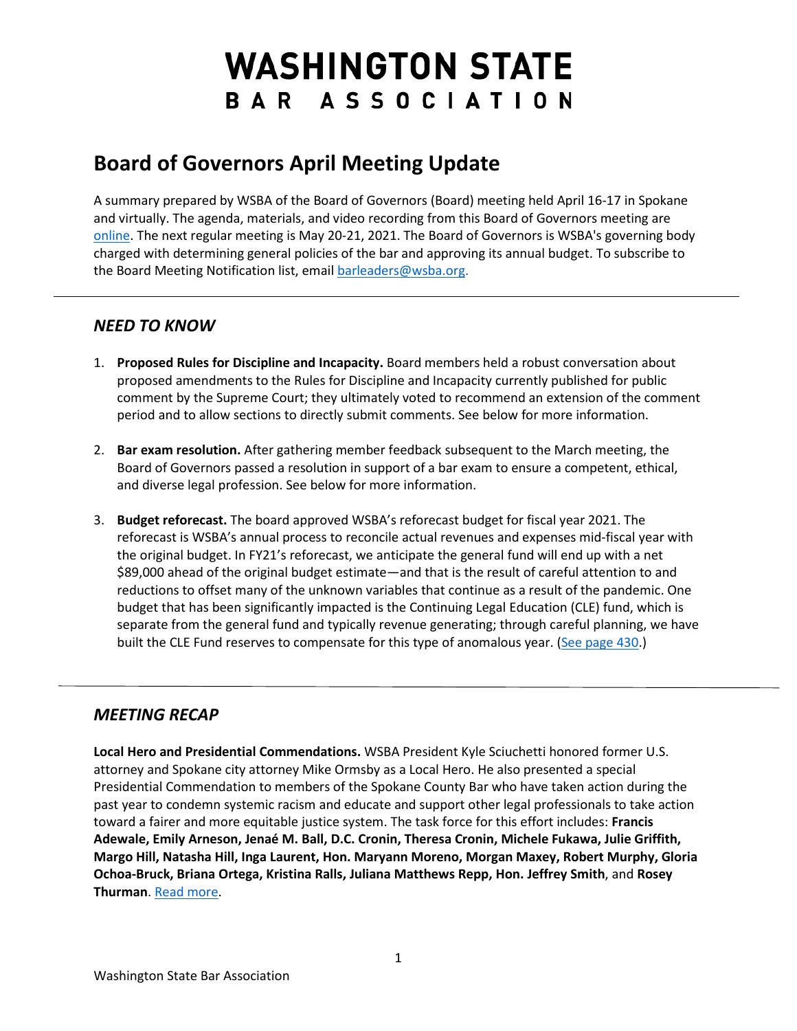## **WASHINGTON STATE** BAR ASSOCIATION

## **Board of Governors April Meeting Update**

A summary prepared by WSBA of the Board of Governors (Board) meeting held April 16-17 in Spokane and virtually. The agenda, materials, and video recording from this Board of Governors meeting are [online.](https://www.wsba.org/about-wsba/who-we-are/board-of-governors) The next regular meeting is May 20-21, 2021. The Board of Governors is WSBA's governing body charged with determining general policies of the bar and approving its annual budget. To subscribe to the Board Meeting Notification list, email [barleaders@wsba.org.](mailto:barleaders@wsba.org)

## *NEED TO KNOW*

- 1. **Proposed Rules for Discipline and Incapacity.** Board members held a robust conversation about proposed amendments to the Rules for Discipline and Incapacity currently published for public comment by the Supreme Court; they ultimately voted to recommend an extension of the comment period and to allow sections to directly submit comments. See below for more information.
- 2. **Bar exam resolution.** After gathering member feedback subsequent to the March meeting, the Board of Governors passed a resolution in support of a bar exam to ensure a competent, ethical, and diverse legal profession. See below for more information.
- 3. **Budget reforecast.** The board approved WSBA's reforecast budget for fiscal year 2021. The reforecast is WSBA's annual process to reconcile actual revenues and expenses mid-fiscal year with the original budget. In FY21's reforecast, we anticipate the general fund will end up with a net \$89,000 ahead of the original budget estimate—and that is the result of careful attention to and reductions to offset many of the unknown variables that continue as a result of the pandemic. One budget that has been significantly impacted is the Continuing Legal Education (CLE) fund, which is separate from the general fund and typically revenue generating; through careful planning, we have built the CLE Fund reserves to compensate for this type of anomalous year. [\(See page 430.](https://www.wsba.org/docs/default-source/about-wsba/governance/bog-meeting-materials-2000-2001/board-of-governors-meeting-materials-april-2021.pdf?sfvrsn=d4f414f1_4))

## *MEETING RECAP*

**Local Hero and Presidential Commendations.** WSBA President Kyle Sciuchetti honored former U.S. attorney and Spokane city attorney Mike Ormsby as a Local Hero. He also presented a special Presidential Commendation to members of the Spokane County Bar who have taken action during the past year to condemn systemic racism and educate and support other legal professionals to take action toward a fairer and more equitable justice system. The task force for this effort includes: **Francis Adewale, Emily Arneson, Jenaé M. Ball, D.C. Cronin, Theresa Cronin, Michele Fukawa, Julie Griffith, Margo Hill, Natasha Hill, Inga Laurent, Hon. Maryann Moreno, Morgan Maxey, Robert Murphy, Gloria Ochoa-Bruck, Briana Ortega, Kristina Ralls, Juliana Matthews Repp, Hon. Jeffrey Smith**, and **Rosey Thurman**[. Read more.](https://www.wsba.org/news-events/media-center/media-releases)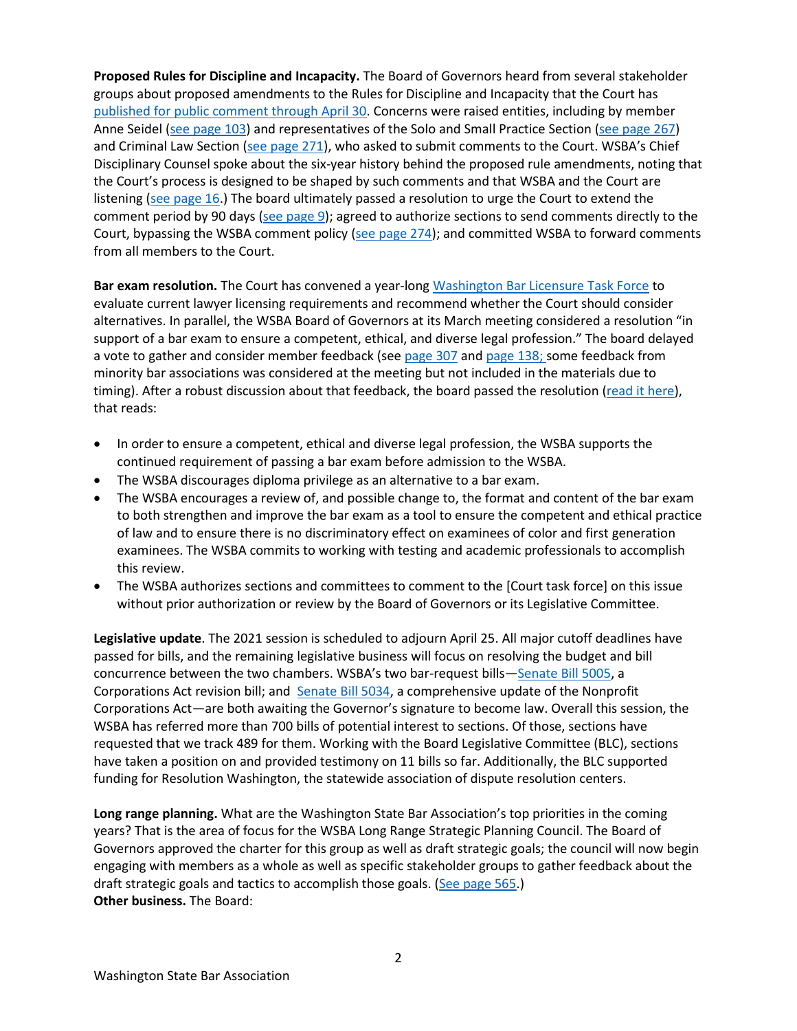**Proposed Rules for Discipline and Incapacity.** The Board of Governors heard from several stakeholder groups about proposed amendments to the Rules for Discipline and Incapacity that the Court has [published for public comment through April 30.](https://www.courts.wa.gov/court_rules/?fa=court_rules.proposedDetails&proposedId=2153) Concerns were raised entities, including by member Anne Seidel [\(see page 103\)](https://www.wsba.org/docs/default-source/about-wsba/governance/bog-meeting-materials-2000-2001/board-of-governors-meeting-late-materials-april-2021.pdf?sfvrsn=50ea14f1_4) and representatives of the Solo and Small Practice Section [\(see page 267\)](https://www.wsba.org/docs/default-source/about-wsba/governance/bog-meeting-materials-2000-2001/board-of-governors-meeting-materials-april-2021.pdf?sfvrsn=d4f414f1_4) and Criminal Law Section [\(see page 271\)](https://www.wsba.org/docs/default-source/about-wsba/governance/bog-meeting-materials-2000-2001/board-of-governors-meeting-materials-april-2021.pdf?sfvrsn=d4f414f1_4), who asked to submit comments to the Court. WSBA's Chief Disciplinary Counsel spoke about the six-year history behind the proposed rule amendments, noting that the Court's process is designed to be shaped by such comments and that WSBA and the Court are listening [\(see page 16.](https://www.wsba.org/docs/default-source/about-wsba/governance/bog-meeting-materials-2000-2001/board-of-governors-meeting-late-materials-april-2021.pdf?sfvrsn=50ea14f1_4)) The board ultimately passed a resolution to urge the Court to extend the comment period by 90 days [\(see page 9\)](https://www.wsba.org/docs/default-source/about-wsba/governance/bog-meeting-materials-2000-2001/board-of-governors-meeting-late-materials-april-2021.pdf?sfvrsn=50ea14f1_4); agreed to authorize sections to send comments directly to the Court, bypassing the WSBA comment policy [\(see page 274\)](https://www.wsba.org/docs/default-source/about-wsba/governance/bog-meeting-materials-2000-2001/board-of-governors-meeting-materials-april-2021.pdf?sfvrsn=d4f414f1_4); and committed WSBA to forward comments from all members to the Court.

**Bar exam resolution.** The Court has convened a year-lon[g Washington Bar Licensure Task Force](https://www.courts.wa.gov/appellate_trial_courts/SupremeCourt/?fa=supremecourt.LicensureTaskForce) to evaluate current lawyer licensing requirements and recommend whether the Court should consider alternatives. In parallel, the WSBA Board of Governors at its March meeting considered a resolution "in support of a bar exam to ensure a competent, ethical, and diverse legal profession." The board delayed a vote to gather and consider member feedback (see [page 307](https://www.wsba.org/docs/default-source/about-wsba/governance/bog-meeting-materials-2000-2001/board-of-governors-meeting-materials-april-2021.pdf?sfvrsn=d4f414f1_4) an[d page 138;](https://www.wsba.org/docs/default-source/about-wsba/governance/bog-meeting-materials-2000-2001/board-of-governors-meeting-late-materials-april-2021.pdf?sfvrsn=50ea14f1_4) some feedback from minority bar associations was considered at the meeting but not included in the materials due to timing). After a robust discussion about that feedback, the board passed the resolution [\(read it here\)](https://www.wsba.org/docs/default-source/about-wsba/governance/resolutions/resolution-bar-exam-final.pdf?sfvrsn=f8e514f1_0), that reads:

- In order to ensure a competent, ethical and diverse legal profession, the WSBA supports the continued requirement of passing a bar exam before admission to the WSBA.
- The WSBA discourages diploma privilege as an alternative to a bar exam.
- The WSBA encourages a review of, and possible change to, the format and content of the bar exam to both strengthen and improve the bar exam as a tool to ensure the competent and ethical practice of law and to ensure there is no discriminatory effect on examinees of color and first generation examinees. The WSBA commits to working with testing and academic professionals to accomplish this review.
- The WSBA authorizes sections and committees to comment to the [Court task force] on this issue without prior authorization or review by the Board of Governors or its Legislative Committee.

**Legislative update**. The 2021 session is scheduled to adjourn April 25. All major cutoff deadlines have passed for bills, and the remaining legislative business will focus on resolving the budget and bill concurrence between the two chambers. WSBA's two bar-request bills[—Senate Bill 5005,](https://app.leg.wa.gov/billsummary?BillNumber=5005&Initiative=false&Year=2021) a Corporations Act revision bill; and [Senate Bill 5034,](https://app.leg.wa.gov/billsummary?BillNumber=5034&Initiative=false&Year=2021) a comprehensive update of the Nonprofit Corporations Act—are both awaiting the Governor's signature to become law. Overall this session, the WSBA has referred more than 700 bills of potential interest to sections. Of those, sections have requested that we track 489 for them. Working with the Board Legislative Committee (BLC), sections have taken a position on and provided testimony on 11 bills so far. Additionally, the BLC supported funding for Resolution Washington, the statewide association of dispute resolution centers.

**Long range planning.** What are the Washington State Bar Association's top priorities in the coming years? That is the area of focus for the WSBA Long Range Strategic Planning Council. The Board of Governors approved the charter for this group as well as draft strategic goals; the council will now begin engaging with members as a whole as well as specific stakeholder groups to gather feedback about the draft strategic goals and tactics to accomplish those goals. [\(See page 565.](https://www.wsba.org/docs/default-source/about-wsba/governance/bog-meeting-materials-2000-2001/board-of-governors-meeting-materials-april-2021.pdf?sfvrsn=d4f414f1_4)) **Other business.** The Board: